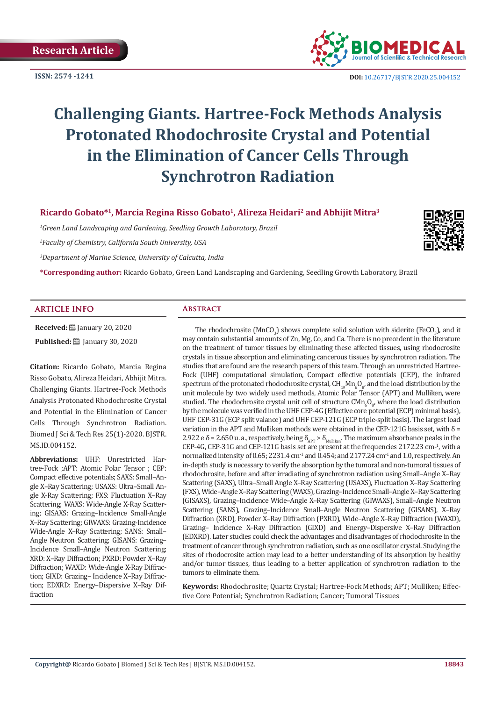**ISSN: 2574 -1241**



 **DOI:** [10.26717/BJSTR.2020.25.004](http://dx.doi.org/10.26717/BJSTR.2020.25.004152)152

# **Challenging Giants. Hartree-Fock Methods Analysis Protonated Rhodochrosite Crystal and Potential in the Elimination of Cancer Cells Through Synchrotron Radiation**

**Ricardo Gobato\*1, Marcia Regina Risso Gobato1, Alireza Heidari2 and Abhijit Mitra3**

*1 Green Land Landscaping and Gardening, Seedling Growth Laboratory, Brazil*

*2 Faculty of Chemistry, California South University, USA*

*3 Department of Marine Science, University of Calcutta, India*

**\*Corresponding author:** Ricardo Gobato, Green Land Landscaping and Gardening, Seedling Growth Laboratory, Brazil

#### **ARTICLE INFO Abstract**

**Received:** [ January 20, 2020 **Published:** January 30, 2020

**Citation:** Ricardo Gobato, Marcia Regina Risso Gobato, Alireza Heidari, Abhijit Mitra. Challenging Giants. Hartree-Fock Methods Analysis Protonated Rhodochrosite Crystal and Potential in the Elimination of Cancer Cells Through Synchrotron Radiation. Biomed J Sci & Tech Res 25(1)-2020. BJSTR. MS.ID.004152.

**Abbreviations:** UHF: Unrestricted Hartree-Fock ;APT: Atomic Polar Tensor ; CEP: Compact effective potentials; SAXS: Small–Angle X–Ray Scattering; USAXS: Ultra–Small Angle X-Ray Scattering; FXS: Fluctuation X–Ray Scattering; WAXS: Wide-Angle X-Ray Scattering; GISAXS: Grazing–Incidence Small-Angle X–Ray Scattering; GIWAXS: Grazing-Incidence Wide-Angle X–Ray Scattering; SANS: Small– Angle Neutron Scattering; GISANS: Grazing– Incidence Small–Angle Neutron Scattering; XRD: X–Ray Diffraction; PXRD: Powder X–Ray Diffraction; WAXD: Wide-Angle X-Ray Diffraction; GIXD: Grazing– Incidence X–Ray Diffraction; EDXRD: Energy–Dispersive X–Ray Diffraction

The rhodochrosite (MnCO<sub>3</sub>) shows complete solid solution with siderite (FeCO<sub>3</sub>), and it may contain substantial amounts of Zn, Mg, Co, and Ca. There is no precedent in the literature on the treatment of tumor tissues by eliminating these affected tissues, using rhodocrosite crystals in tissue absorption and eliminating cancerous tissues by synchrotron radiation. The studies that are found are the research papers of this team. Through an unrestricted Hartree-Fock (UHF) computational simulation, Compact effective potentials (CEP), the infrared spectrum of the protonated rhodochrosite crystal,  $CH_{19}Mn_6O_{g}$ , and the load distribution by the unit molecule by two widely used methods, Atomic Polar Tensor (APT) and Mulliken, were studied. The rhodochrosite crystal unit cell of structure  $\text{CMn}_{6}\text{O}_{8}$ , where the load distribution by the molecule was verified in the UHF CEP-4G (Effective core potential (ECP) minimal basis), UHF CEP-31G (ECP split valance) and UHF CEP-121G (ECP triple-split basis). The largest load variation in the APT and Mulliken methods were obtained in the CEP-121G basis set, with δ = 2.922 e δ = 2.650 u. a., respectively, being  $\delta_{APT} > \delta_{Mulliken}$ . The maximum absorbance peaks in the CEP-4G, CEP-31G and CEP-121G basis set are present at the frequencies 2172.23 cm-1 , with a normalized intensity of 0.65; 2231.4 cm<sup>-1</sup> and 0.454; and 2177.24 cm<sup>-1</sup> and 1.0, respectively. An in-depth study is necessary to verify the absorption by the tumoral and non-tumoral tissues of rhodochrosite, before and after irradiating of synchrotron radiation using Small–Angle X–Ray Scattering (SAXS), Ultra–Small Angle X–Ray Scattering (USAXS), Fluctuation X–Ray Scattering (FXS), Wide–Angle X–Ray Scattering (WAXS), Grazing–Incidence Small–Angle X–Ray Scattering (GISAXS), Grazing–Incidence Wide–Angle X–Ray Scattering (GIWAXS), Small–Angle Neutron Scattering (SANS), Grazing–Incidence Small–Angle Neutron Scattering (GISANS), X–Ray Diffraction (XRD), Powder X–Ray Diffraction (PXRD), Wide–Angle X–Ray Diffraction (WAXD), Grazing– Incidence X–Ray Diffraction (GIXD) and Energy–Dispersive X–Ray Diffraction (EDXRD). Later studies could check the advantages and disadvantages of rhodochrosite in the treatment of cancer through synchrotron radiation, such as one oscillator crystal. Studying the sites of rhodocrosite action may lead to a better understanding of its absorption by healthy and/or tumor tissues, thus leading to a better application of synchrotron radiation to the tumors to eliminate them.

**Keywords:** Rhodochrosite; Quartz Crystal; Hartree-Fock Methods; APT; Mulliken; Effective Core Potential; Synchrotron Radiation; Cancer; Tumoral Tissues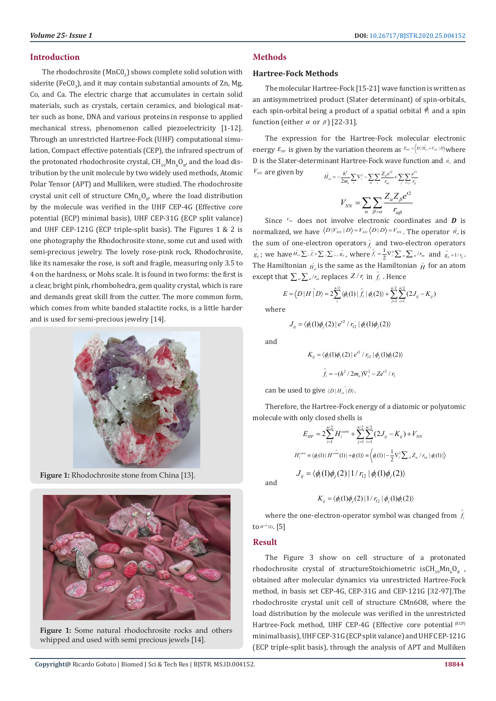The rhodochrosite (MnC $0_{\rm 3}$ ) shows complete solid solution with siderite (FeCO<sub>3</sub>), and it may contain substantial amounts of Zn, Mg, Co, and Ca. The electric charge that accumulates in certain solid materials, such as crystals, certain ceramics, and biological matter such as bone, DNA and various proteins in response to applied mechanical stress, phenomenon called piezoelectricity [1-12]. Through an unrestricted Hartree-Fock (UHF) computational simulation, Compact effective potentials (CEP), the infrared spectrum of the protonated rhodochrosite crystal,  $\text{CH}_{19}\text{Mn}_{6}\text{O}_{8'}$  and the load distribution by the unit molecule by two widely used methods, Atomic Polar Tensor (APT) and Mulliken, were studied. The rhodochrosite crystal unit cell of structure  $\mathsf{CMn}_6\mathsf{O}_{8'}$ , where the load distribution by the molecule was verified in the UHF CEP-4G (Effective core potential (ECP) minimal basis), UHF CEP-31G (ECP split valance) and UHF CEP-121G (ECP triple-split basis). The Figures 1 & 2 is one photography the Rhodochrosite stone, some cut and used with semi-precious jewelry. The lovely rose-pink rock, Rhodochrosite, like its namesake the rose, is soft and fragile, measuring only 3.5 to 4 on the hardness, or Mohs scale. It is found in two forms: the first is a clear, bright pink, rhombohedra, gem quality crystal, which is rare and demands great skill from the cutter. The more common form, which comes from white banded stalactite rocks, is a little harder and is used for semi-precious jewelry [14].



**Figure 1:** Rhodochrosite stone from China [13].



**Figure 1:** Some natural rhodochrosite rocks and others whipped and used with semi precious jewels [14].

# **Methods**

# **Hartree-Fock Methods**

The molecular Hartree-Fock [15-21] wave function is written as an antisymmetrized product (Slater determinant) of spin-orbitals, each spin-orbital being a product of a spatial orbital  $\phi_i$  and a spin function (either  $\alpha$  or  $\beta$ ) [22-31].

The expression for the Hartree-Fock molecular electronic energy  $E_{HF}$  is given by the variation theorem as  $E_{HF} = \left\langle D | \hat{H}_{el} + V_{NN} | D \right\rangle$  where D is the Slater-determinant Hartree-Fock wave function and  $\hat{H}_{el}$  and  $V_{NN}$  are given by 2  $\mathbf{Z} \cdot \mathbf{Z}^2$   $\mathbf{Z}^2$ ∧

$$
\hat{H}_{el} = -\frac{\hbar^2}{2m_e} \sum_{i} \nabla_i^2 - \sum_{\alpha} \sum_{i} \frac{Z_{\alpha} e^{i2}}{r_{ia}} + \sum_{j} \sum_{j} \frac{e^{j2}}{r_{ij}}
$$
\n
$$
V_{NN} = \sum_{\alpha} \sum_{\beta > \alpha} \frac{Z_{\alpha} Z_{\beta} e^{i2}}{r_{\alpha\beta}}
$$

Since  $V_{\text{NN}}$  does not involve electronic coordinates and **D** is normalized, we have  $\langle D | V_{NN} | D \rangle = V_{NN} \langle D | D \rangle = V_{NN}$ . The operator  $\hat{H}_e$  is the sum of one-electron operators  $\hat{f}_i$  and two-electron operators  $\hat{g}_{ij}$ ; we have  $\hat{H}_{el} \sum_i \hat{J}_i + \sum_j \sum_{k>j} \hat{g}_{ij}$ , where  $\hat{J}_i = \frac{1}{2} \nabla_i^2 \sum_{\alpha} \sum_{\alpha} I r_{ia}$  and  $\hat{g}_{ij} = 1/r_{ij}$ . The Hamiltonian  $\hat{H}_{el}$  is the same as the Hamiltonian  $\hat{H}$  for an atom except that  $\sum_{\alpha} \sum_{\alpha} / r_{i\alpha}$  replaces  $Z / r_i$  in  $\hat{f}_i$  . Hence

$$
E = \langle D | H \mid D \rangle = 2 \sum_{i}^{n/2} \langle \phi_{i}(1) | \hat{f}_{i} | \phi_{i}(2) \rangle + \sum_{j=1}^{n/2} \sum_{i=1}^{n/2} (2 J_{ij} - K_{ij})
$$

where

$$
J_{ij} = \langle \phi_i(1)\phi_j(2) | e^{i^2} / r_{12} | \phi_i(1)\phi_j(2) \rangle
$$

and

$$
K_{ij} = \langle \phi_i(1)\phi_j(2) | e^{i^2 / r_{12}} | \phi_j(1)\phi_i(2) \rangle
$$

$$
\hat{f}_i = -(h^2 / 2m_e) \nabla_i^2 - Ze^{i^2 / r_i}
$$

can be used to give  $\langle D | H_{e\iota} \rangle D \rangle$ .

Therefore, the Hartree-Fock energy of a diatomic or polyatomic molecule with only closed shells is

$$
E_{HF} = 2 \sum_{i=1}^{n/2} H_i^{core} + \sum_{j=1}^{n/2} \sum_{i=1}^{n/2} (2J_{ij} - K_{ij}) + V_{NN}
$$
  

$$
H_i^{core} = \langle \phi_i(1) | H^{core}(1) | + \phi_i(1) \rangle = \langle \phi_i(1) | -\frac{1}{2} \nabla_i^2 \sum_{\alpha} Z_{\alpha} / r_{i\alpha} | \phi_i(1) \rangle
$$
  

$$
J_{ij} = \langle \phi_i(1) \phi_j(2) | 1 / r_{12} | \phi_i(1) \phi_j(2) \rangle
$$

and

$$
K_{ij} = \langle \phi_i(1)\phi_j(2) | 1/r_{12} | \phi_j(1)\phi_i(2) \rangle
$$

where the one-electron-operator symbol was changed from  $\hat{f}$ to  $H^{\hat{o m}}(1)$ . [5]

# **Result**

The Figure 3 show on cell structure of a protonated rhodochrosite crystal of structureStoichiometric  ${\rm i} {\rm s} {\rm CH}_{_{19}}{\rm Mn}_6{\rm O}_8$  , obtained after molecular dynamics via unrestricted Hartree-Fock method, in basis set CEP-4G, CEP-31G and CEP-121G [32-97].The rhodochrosite crystal unit cell of structure CMn6O8, where the load distribution by the molecule was verified in the unrestricted Hartree-Fock method, UHF CEP-4G (Effective core potential (ECP) minimal basis), UHF CEP-31G (ECP split valance) and UHF CEP-121G (ECP triple-split basis), through the analysis of APT and Mulliken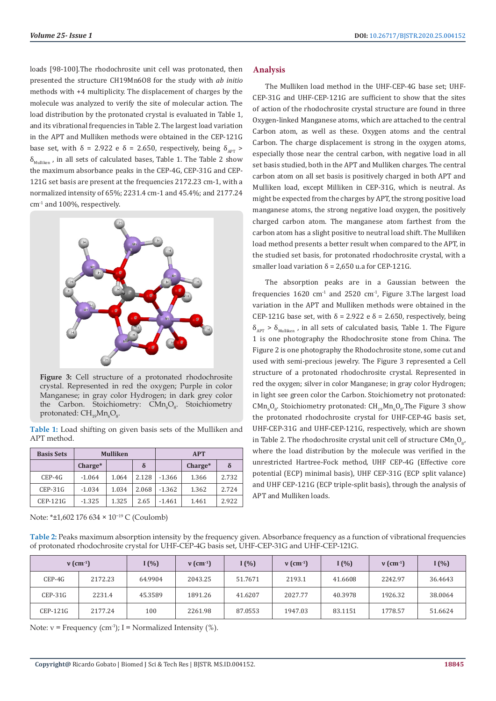loads [98-100].The rhodochrosite unit cell was protonated, then presented the structure CH19Mn6O8 for the study with *ab initio* methods with +4 multiplicity. The displacement of charges by the molecule was analyzed to verify the site of molecular action. The load distribution by the protonated crystal is evaluated in Table 1, and its vibrational frequencies in Table 2. The largest load variation in the APT and Mulliken methods were obtained in the CEP-121G base set, with  $\delta = 2.922$  e  $\delta = 2.650$ , respectively, being  $\delta_{\text{APT}} >$  $\delta_{\text{Mulliken}}$ , in all sets of calculated bases, Table 1. The Table 2 show the maximum absorbance peaks in the CEP-4G, CEP-31G and CEP-121G set basis are present at the frequencies 2172.23 cm-1, with a normalized intensity of 65%; 2231.4 cm-1 and 45.4%; and 2177.24 cm-1 and 100%, respectively.



Figure 3: Cell structure of a protonated rhodochrosite crystal. Represented in red the oxygen; Purple in color Manganese; in gray color Hydrogen; in dark grey color the Carbon. Stoichiometry:  $C M n_{\rho} O_{8}$ . Stoichiometry protonated:  $\mathrm{CH_{_{19}Mn_{_6}O_{_8}.}}$ 

**Table 1:** Load shifting on given basis sets of the Mulliken and APT method.

| <b>Basis Sets</b> |           | <b>Mulliken</b> |       | <b>APT</b> |         |          |  |
|-------------------|-----------|-----------------|-------|------------|---------|----------|--|
|                   | $Change*$ |                 | δ     |            | Charge* | $\delta$ |  |
| $CEP-4G$          | $-1.064$  | 1.064           | 2.128 | $-1.366$   | 1.366   | 2.732    |  |
| $CEP-31G$         | $-1.034$  | 1.034           | 2.068 | $-1.362$   | 1.362   | 2.724    |  |
| <b>CEP-121G</b>   | $-1.325$  | 1.325           | 2.65  | $-1.461$   | 1.461   | 2.922    |  |

Note: \*±1,602 176 634 × 10−19 C (Coulomb)

# **Analysis**

The Mulliken load method in the UHF-CEP-4G base set; UHF-CEP-31G and UHF-CEP-121G are sufficient to show that the sites of action of the rhodochrosite crystal structure are found in three Oxygen-linked Manganese atoms, which are attached to the central Carbon atom, as well as these. Oxygen atoms and the central Carbon. The charge displacement is strong in the oxygen atoms, especially those near the central carbon, with negative load in all set basis studied, both in the APT and Mulliken charges. The central carbon atom on all set basis is positively charged in both APT and Mulliken load, except Milliken in CEP-31G, which is neutral. As might be expected from the charges by APT, the strong positive load manganese atoms, the strong negative load oxygen, the positively charged carbon atom. The manganese atom farthest from the carbon atom has a slight positive to neutral load shift. The Mulliken load method presents a better result when compared to the APT, in the studied set basis, for protonated rhodochrosite crystal, with a smaller load variation  $δ = 2,650$  u.a for CEP-121G.

The absorption peaks are in a Gaussian between the frequencies  $1620 \text{ cm}^{-1}$  and  $2520 \text{ cm}^{-1}$ , Figure 3. The largest load variation in the APT and Mulliken methods were obtained in the CEP-121G base set, with  $\delta$  = 2.922 e  $\delta$  = 2.650, respectively, being  $\delta_{\text{APT}}$  >  $\delta_{\text{Multiken}}$ , in all sets of calculated basis, Table 1. The Figure 1 is one photography the Rhodochrosite stone from China. The Figure 2 is one photography the Rhodochrosite stone, some cut and used with semi-precious jewelry. The Figure 3 represented a Cell structure of a protonated rhodochrosite crystal. Represented in red the oxygen; silver in color Manganese; in gray color Hydrogen; in light see green color the Carbon. Stoichiometry not protonated:  $\text{CMn}_{6}\text{O}_{8}$ . Stoichiometry protonated:  $\text{CH}_{19}\text{Mn}_{6}\text{O}_{8}$ . The Figure 3 show the protonated rhodochrosite crystal for UHF-CEP-4G basis set, UHF-CEP-31G and UHF-CEP-121G, respectively, which are shown in Table 2. The rhodochrosite crystal unit cell of structure CMn<sub>6</sub>O<sub>g</sub>, where the load distribution by the molecule was verified in the unrestricted Hartree-Fock method, UHF CEP-4G (Effective core potential (ECP) minimal basis), UHF CEP-31G (ECP split valance) and UHF CEP-121G (ECP triple-split basis), through the analysis of APT and Mulliken loads.

**Table 2:** Peaks maximum absorption intensity by the frequency given. Absorbance frequency as a function of vibrational frequencies of protonated rhodochrosite crystal for UHF-CEP-4G basis set, UHF-CEP-31G and UHF-CEP-121G.

| $v$ (cm <sup>-1</sup> ) |         | (1%)    | $v$ (cm <sup>-1</sup> ) | (%)     | $v$ (cm <sup>-1</sup> ) | I $(\% )$ | $v$ (cm <sup>-1</sup> ) | I(%)    |
|-------------------------|---------|---------|-------------------------|---------|-------------------------|-----------|-------------------------|---------|
| CEP-4G                  | 2172.23 | 64.9904 | 2043.25                 | 51.7671 | 2193.1                  | 41.6608   | 2242.97                 | 36.4643 |
| $CEP-31G$               | 2231.4  | 45.3589 | 1891.26                 | 41.6207 | 2027.77                 | 40.3978   | 1926.32                 | 38.0064 |
| CEP-121G                | 2177.24 | 100     | 2261.98                 | 87.0553 | 1947.03                 | 83.1151   | 1778.57                 | 51.6624 |

Note:  $v =$  Frequency (cm<sup>-1</sup>); I = Normalized Intensity (%).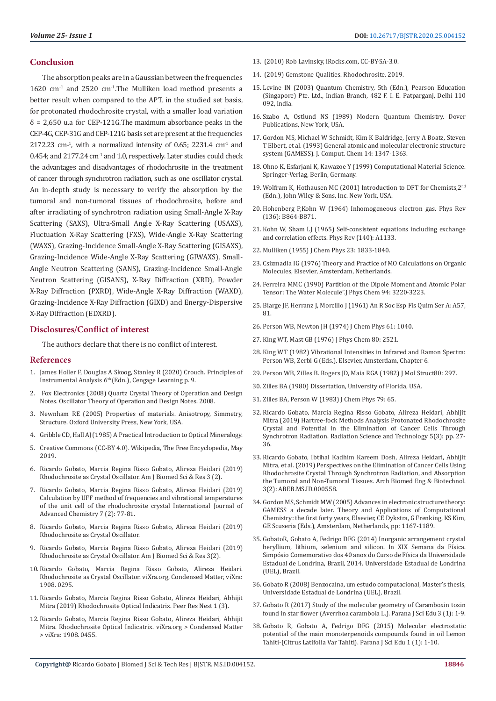### **Conclusion**

The absorption peaks are in a Gaussian between the frequencies  $1620$  cm<sup>-1</sup> and  $2520$  cm<sup>-1</sup>. The Mulliken load method presents a better result when compared to the APT, in the studied set basis, for protonated rhodochrosite crystal, with a smaller load variation  $\delta$  = 2,650 u.a for CEP-121G. The maximum absorbance peaks in the CEP-4G, CEP-31G and CEP-121G basis set are present at the frequencies  $2172.23$  cm<sup>-1</sup>, with a normalized intensity of 0.65; 2231.4 cm<sup>-1</sup> and 0.454; and  $2177.24$  cm<sup>-1</sup> and 1.0, respectively. Later studies could check the advantages and disadvantages of rhodochrosite in the treatment of cancer through synchrotron radiation, such as one oscillator crystal. An in-depth study is necessary to verify the absorption by the tumoral and non-tumoral tissues of rhodochrosite, before and after irradiating of synchrotron radiation using Small-Angle X-Ray Scattering (SAXS), Ultra-Small Angle X-Ray Scattering (USAXS), Fluctuation X-Ray Scattering (FXS), Wide-Angle X-Ray Scattering (WAXS), Grazing-Incidence Small-Angle X-Ray Scattering (GISAXS), Grazing-Incidence Wide-Angle X-Ray Scattering (GIWAXS), Small-Angle Neutron Scattering (SANS), Grazing-Incidence Small-Angle Neutron Scattering (GISANS), X-Ray Diffraction (XRD), Powder X-Ray Diffraction (PXRD), Wide-Angle X-Ray Diffraction (WAXD), Grazing-Incidence X-Ray Diffraction (GIXD) and Energy-Dispersive X-Ray Diffraction (EDXRD).

### **Disclosures/Conflict of interest**

The authors declare that there is no conflict of interest.

#### **References**

- 1. James Holler F, Douglas A Skoog, Stanley R (2020) Crouch. Principles of Instrumental Analysis 6<sup>th</sup> (Edn.), Cengage Learning p. 9.
- 2. [Fox Electronics \(2008\) Quartz Crystal Theory of Operation and Design](https://web.archive.org/web/20110725032851/http:/www.foxonline.com/techdata.htm.)  [Notes. Oscillator Theory of Operation and Design Notes. 2008.](https://web.archive.org/web/20110725032851/http:/www.foxonline.com/techdata.htm.)
- 3. Newnham RE (2005) Properties of materials. Anisotropy, Simmetry, Structure. Oxford University Press, New York, USA.
- 4. Gribble CD, Hall AJ (1985) A Practical Introduction to Optical Mineralogy.
- 5. [Creative Commons \(CC-BY 4.0\). Wikipedia, The Free Encyclopedia, May](https://creativecommons.org/licenses/by/4.0/)  [2019.](https://creativecommons.org/licenses/by/4.0/)
- 6. [Ricardo Gobato, Marcia Regina Risso Gobato, Alireza Heidari \(2019\)](https://biomedgrid.com/fulltext/volume3/rhodochrosite-as-crystal-oscillator.000659.php)  [Rhodochrosite as Crystal Oscillator. Am J Biomed Sci & Res 3 \(2\).](https://biomedgrid.com/fulltext/volume3/rhodochrosite-as-crystal-oscillator.000659.php)
- 7. Ricardo Gobato, Marcia Regina Risso Gobato, Alireza Heidari (2019) Calculation by UFF method of frequencies and vibrational temperatures of the unit cell of the rhodochrosite crystal International Journal of Advanced Chemistry 7 (2): 77-81.
- 8. [Ricardo Gobato, Marcia Regina Risso Gobato, Alireza Heidari \(2019\)](https://www.researchgate.net/publication/333817526_Rhodochrosite_as_Crystal_Oscillator?enrichId=rgreq-26dd55b5b6e53fd29f8cf00042058725-XXX&enrichSource=Y292ZXJQYWdlOzMzMzgxNzUyNjtBUzo3NzA3NDE0MTkxMjY3ODRAMTU2MDc3MDQ4MjgwOA%3D%3D&el=1_x_2&_esc=publicationCoverPdf.)  [Rhodochrosite as Crystal Oscillator.](https://www.researchgate.net/publication/333817526_Rhodochrosite_as_Crystal_Oscillator?enrichId=rgreq-26dd55b5b6e53fd29f8cf00042058725-XXX&enrichSource=Y292ZXJQYWdlOzMzMzgxNzUyNjtBUzo3NzA3NDE0MTkxMjY3ODRAMTU2MDc3MDQ4MjgwOA%3D%3D&el=1_x_2&_esc=publicationCoverPdf.)
- 9. [Ricardo Gobato, Marcia Regina Risso Gobato, Alireza Heidari \(2019\)](https://www.researchgate.net/publication/333725901_Rhodochrosite_as_Crystal_Oscillator)  [Rhodochrosite as Crystal Oscillator. Am J Biomed Sci & Res 3\(2\).](https://www.researchgate.net/publication/333725901_Rhodochrosite_as_Crystal_Oscillator)
- 10. [Ricardo Gobato, Marcia Regina Risso Gobato, Alireza Heidari.](http://vixra.org/abs/1908.0295.)  [Rhodochrosite as Crystal Oscillator. viXra.org, Condensed Matter, viXra:](http://vixra.org/abs/1908.0295.)  [1908. 0295.](http://vixra.org/abs/1908.0295.)
- 11. [Ricardo Gobato, Marcia Regina Risso Gobato, Alireza Heidari, Abhijit](https://peernest.org/pdf/PNEST.19.08.020.pdf)  [Mitra \(2019\) Rhodochrosite Optical Indicatrix. Peer Res Nest 1 \(3\).](https://peernest.org/pdf/PNEST.19.08.020.pdf)
- 12. [Ricardo Gobato, Marcia Regina Risso Gobato, Alireza Heidari, Abhijit](:%20http:/vixra.org/abs/1908.0455.%20Available%20in:%20Aug%2022,%202019.)  [Mitra. Rhodochrosite Optical Indicatrix. viXra.org > Condensed Matter](:%20http:/vixra.org/abs/1908.0455.%20Available%20in:%20Aug%2022,%202019.)  [> viXra: 1908. 0455.](:%20http:/vixra.org/abs/1908.0455.%20Available%20in:%20Aug%2022,%202019.)
- 13. (2010) Rob Lavinsky, iRocks.com, CC-BY-SA-3.0.
- 14. [\(2019\) Gemstone Qualities. Rhodochrosite. 2019.](https://www.roseheartjewels.co.uk/rhodochrosite/)
- 15. Levine IN (2003) Quantum Chemistry, 5th (Edn.), Pearson Education (Singapore) Pte. Ltd., Indian Branch, 482 F. I. E. Patparganj, Delhi 110 092, India.
- 16. Szabo A, Ostlund NS (1989) Modern Quantum Chemistry. Dover Publications, New York, USA.
- 17. [Gordon MS, Michael W Schmidt, Kim K Baldridge, Jerry A Boatz, Steven](https://onlinelibrary.wiley.com/doi/10.1002/jcc.540141112) [T Elbert, et al. \(1993\) General atomic and molecular electronic structure](https://onlinelibrary.wiley.com/doi/10.1002/jcc.540141112) [system \(GAMESS\). J. Comput. Chem 14: 1347-1363.](https://onlinelibrary.wiley.com/doi/10.1002/jcc.540141112)
- 18. Ohno K, Esfarjani K, Kawazoe Y (1999) Computational Material Science. Springer-Verlag, Berlin, Germany.
- 19. Wolfram K, Hothausen MC (2001) Introduction to DFT for Chemists,2nd (Edn.), John Wiley & Sons, Inc. New York, USA.
- 20. [Hohenberg P,Kohn W \(1964\) Inhomogeneous electron gas. Phys Rev](https://journals.aps.org/pr/abstract/10.1103/PhysRev.136.B864) [\(136\): B864-B871.](https://journals.aps.org/pr/abstract/10.1103/PhysRev.136.B864)
- 21. [Kohn W, Sham LJ \(1965\) Self-consistent equations including exchange](https://journals.aps.org/pr/abstract/10.1103/PhysRev.140.A1133) [and correlation effects. Phys Rev \(140\): A1133.](https://journals.aps.org/pr/abstract/10.1103/PhysRev.140.A1133)
- 22. Mulliken (1955) J Chem Phys 23: 1833-1840.
- 23. Csizmadia IG (1976) Theory and Practice of MO Calculations on Organic Molecules, Elsevier, Amsterdam, Netherlands.
- 24. [Ferreira MMC \(1990\) Partition of the Dipole Moment and Atomic Polar](http://www.marcia.iqm.unicamp.br/Pabs7.html) [Tensor: The Water Molecule".J Phys Chem 94: 3220-3223.](http://www.marcia.iqm.unicamp.br/Pabs7.html)
- 25. Biarge JF, Herranz J, Morcillo J (1961) An R Soc Esp Fis Quim Ser A: A57, 81.
- 26. Person WB, Newton JH (1974) J Chem Phys 61: 1040.
- 27. King WT, Mast GB (1976) J Phys Chem 80: 2521.
- 28. King WT (1982) Vibrational Intensities in Infrared and Ramon Spectra: Person WB, Zerbi G (Eds.), Elsevier, Amsterdam, Chapter 6.
- 29. Person WB, Zilles B. Rogers JD, Maia RGA (1982) J Mol Struct80: 297.
- 30. Zilles BA (1980) Dissertation, University of Florida, USA.
- 31. Zilles BA, Person W (1983) J Chem Phys 79: 65.
- 32. [Ricardo Gobato, Marcia Regina Risso Gobato, Alireza Heidari, Abhijit](http://www.sciencepublishinggroup.com/journal/paperinfo?journalid=321&doi=10.11648/j.rst.20190503.12) [Mitra \(2019\) Hartree-fock Methods Analysis Protonated Rhodochrosite](http://www.sciencepublishinggroup.com/journal/paperinfo?journalid=321&doi=10.11648/j.rst.20190503.12) [Crystal and Potential in the Elimination of Cancer Cells Through](http://www.sciencepublishinggroup.com/journal/paperinfo?journalid=321&doi=10.11648/j.rst.20190503.12) [Synchrotron Radiation. Radiation Science and Technology 5\(3\): pp. 27-](http://www.sciencepublishinggroup.com/journal/paperinfo?journalid=321&doi=10.11648/j.rst.20190503.12) [36.](http://www.sciencepublishinggroup.com/journal/paperinfo?journalid=321&doi=10.11648/j.rst.20190503.12)
- 33. [Ricardo Gobato, Ibtihal Kadhim Kareem Dosh, Alireza Heidari, Abhijit](https://irispublishers.com/abeb/pdf/ABEB.MS.ID.000558.pdf) [Mitra, et al. \(2019\) Perspectives on the Elimination of Cancer Cells Using](https://irispublishers.com/abeb/pdf/ABEB.MS.ID.000558.pdf) [Rhodochrosite Crystal Through Synchrotron Radiation, and Absorption](https://irispublishers.com/abeb/pdf/ABEB.MS.ID.000558.pdf) [the Tumoral and Non-Tumoral Tissues. Arch Biomed Eng & Biotechnol.](https://irispublishers.com/abeb/pdf/ABEB.MS.ID.000558.pdf) [3\(2\): ABEB.MS.ID.000558.](https://irispublishers.com/abeb/pdf/ABEB.MS.ID.000558.pdf)
- 34. Gordon MS, Schmidt MW (2005) Advances in electronic structure theory: GAMESS a decade later. Theory and Applications of Computational Chemistry: the first forty years, Elsevier, CE Dykstra, G Frenking, KS Kim, GE Scuseria (Eds.), Amsterdam, Netherlands, pp: 1167-1189.
- 35. GobatoR, Gobato A, Fedrigo DFG (2014) Inorganic arrangement crystal beryllium, lithium, selenium and silicon. In XIX Semana da Física. Simpósio Comemorativo dos 40 anos do Curso de Física da Universidade Estadual de Londrina, Brazil, 2014. Universidade Estadual de Londrina (UEL), Brazil.
- 36. Gobato R (2008) Benzocaína, um estudo computacional, Master's thesis, Universidade Estadual de Londrina (UEL), Brazil.
- 37. [Gobato R \(2017\) Study of the molecular geometry of Caramboxin toxin](https://www.researchgate.net/publication/312619839_Study_of_the_molecular_geometry_of_Caramboxin_toxin_found_in_star_flower_Averrhoa_carambola_L) [found in star flower \(Averrhoa carambola L.\). Parana J Sci Edu 3 \(1\): 1-9.](https://www.researchgate.net/publication/312619839_Study_of_the_molecular_geometry_of_Caramboxin_toxin_found_in_star_flower_Averrhoa_carambola_L)
- 38. Gobato R, Gobato A, Fedrigo DFG (2015) Molecular electrostatic potential of the main monoterpenoids compounds found in oil Lemon Tahiti-(Citrus Latifolia Var Tahiti). Parana J Sci Edu 1 (1): 1-10.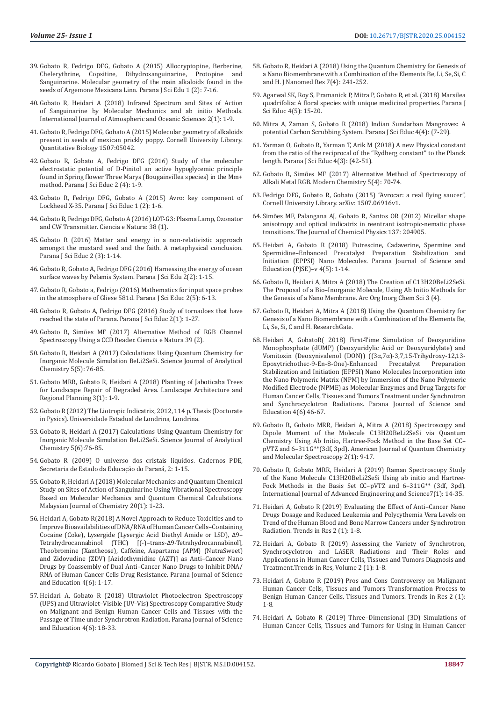- 39. [Gobato R, Fedrigo DFG, Gobato A \(2015\) Allocryptopine, Berberine,](https://www.researchgate.net/publication/287285986_Allocryptopine_Berberine_Chelerythrine_Copsitine_Dihydrosanguinarine_Protopine_and_Sanguinarine_Molecular_geometry_of_the_main_alkaloids_found_in_the_seeds_of_Argemone_Mexicana_Linn)  Copsitine, Dihydrosanguinarine, Protopine [Sanguinarine. Molecular geometry of the main alkaloids found in the](https://www.researchgate.net/publication/287285986_Allocryptopine_Berberine_Chelerythrine_Copsitine_Dihydrosanguinarine_Protopine_and_Sanguinarine_Molecular_geometry_of_the_main_alkaloids_found_in_the_seeds_of_Argemone_Mexicana_Linn)  [seeds of Argemone Mexicana Linn. Parana J Sci Edu 1 \(2\): 7-16.](https://www.researchgate.net/publication/287285986_Allocryptopine_Berberine_Chelerythrine_Copsitine_Dihydrosanguinarine_Protopine_and_Sanguinarine_Molecular_geometry_of_the_main_alkaloids_found_in_the_seeds_of_Argemone_Mexicana_Linn)
- 40. [Gobato R, Heidari A \(2018\) Infrared Spectrum and Sites of Action](http://www.sciencepublishinggroup.com/journal/paperinfo?journalid=298&doi=10.11648/j.ijaos.20180201.11)  [of Sanguinarine by Molecular Mechanics and ab initio Methods.](http://www.sciencepublishinggroup.com/journal/paperinfo?journalid=298&doi=10.11648/j.ijaos.20180201.11)  [International Journal of Atmospheric and Oceanic Sciences 2\(1\): 1-9.](http://www.sciencepublishinggroup.com/journal/paperinfo?journalid=298&doi=10.11648/j.ijaos.20180201.11)
- 41. Gobato R, Fedrigo DFG, Gobato A (2015) Molecular geometry of alkaloids present in seeds of mexican prickly poppy. Cornell University Library. Quantitative Biology 1507:05042.
- 42. [Gobato R, Gobato A, Fedrigo DFG \(2016\) Study of the molecular](https://www.researchgate.net/publication/303185688_Study_of_the_molecular_electrostatic_potential_of_D-Pinitol_an_active_hypoglycemic_principle_found_in_Spring_flower_-_Three_Marys_Bougainvillea_species_in_the_Mm_method)  [electrostatic potential of D-Pinitol an active hypoglycemic principle](https://www.researchgate.net/publication/303185688_Study_of_the_molecular_electrostatic_potential_of_D-Pinitol_an_active_hypoglycemic_principle_found_in_Spring_flower_-_Three_Marys_Bougainvillea_species_in_the_Mm_method)  [found in Spring flower Three Marys \(Bougainvillea species\) in the Mm+](https://www.researchgate.net/publication/303185688_Study_of_the_molecular_electrostatic_potential_of_D-Pinitol_an_active_hypoglycemic_principle_found_in_Spring_flower_-_Three_Marys_Bougainvillea_species_in_the_Mm_method)  [method. Parana J Sci Educ 2 \(4\): 1-9.](https://www.researchgate.net/publication/303185688_Study_of_the_molecular_electrostatic_potential_of_D-Pinitol_an_active_hypoglycemic_principle_found_in_Spring_flower_-_Three_Marys_Bougainvillea_species_in_the_Mm_method)
- 43. [Gobato R, Fedrigo DFG, Gobato A \(2015\) Avro: key component of](https://www.researchgate.net/publication/286930520_Avro_key_component_of_Lockheed_X-35)  [Lockheed X-35. Parana J Sci Educ 1 \(2\): 1-6.](https://www.researchgate.net/publication/286930520_Avro_key_component_of_Lockheed_X-35)
- 44. [Gobato R, Fedrigo DFG, Gobato A \(2016\) LOT-G3: Plasma Lamp, Ozonator](https://periodicos.ufsm.br/cienciaenatura/article/view/19387)  [and CW Transmitter. Ciencia e Natura: 38 \(1\).](https://periodicos.ufsm.br/cienciaenatura/article/view/19387)
- 45. [Gobato R \(2016\) Matter and energy in a non-relativistic approach](https://www.researchgate.net/publication/300225640_Matter_and_energy_in_a_non-relativistic_approach_amongst_the_mustard_seed_and_the_faith_A_metaphysical_conclusion)  [amongst the mustard seed and the faith. A metaphysical conclusion.](https://www.researchgate.net/publication/300225640_Matter_and_energy_in_a_non-relativistic_approach_amongst_the_mustard_seed_and_the_faith_A_metaphysical_conclusion)  [Parana J Sci Educ 2 \(3\): 1-14.](https://www.researchgate.net/publication/300225640_Matter_and_energy_in_a_non-relativistic_approach_amongst_the_mustard_seed_and_the_faith_A_metaphysical_conclusion)
- 46. Gobato R, Gobato A, Fedrigo DFG (2016) Harnessing the energy of ocean surface waves by Pelamis System. Parana J Sci Edu 2(2): 1-15.
- 47. Gobato R, Gobato a, Fedrigo (2016) Mathematics for input space probes in the atmosphere of Gliese 581d. Parana J Sci Educ 2(5): 6-13.
- 48. Gobato R, Gobato A, Fedrigo DFG (2016) Study of tornadoes that have reached the state of Parana. Parana J Sci Educ 2(1): 1-27.
- 49. [Gobato R, Simões MF \(2017\) Alternative Method of RGB Channel](https://www.redalyc.org/jatsRepo/4675/467551029021/html/index.html)  [Spectroscopy Using a CCD Reader. Ciencia e Natura 39 \(2\).](https://www.redalyc.org/jatsRepo/4675/467551029021/html/index.html)
- 50. Gobato R, Heidari A (2017) Calculations Using Quantum Chemistry for Inorganic Molecule Simulation BeLi2SeSi. Science Journal of Analytical Chemistry 5(5): 76-85.
- 51. [Gobato MRR, Gobato R, Heidari A \(2018\) Planting of Jaboticaba Trees](http://www.sciencepublishinggroup.com/journal/paperinfo?journalid=241&doi=10.11648/j.larp.20180301.11)  [for Landscape Repair of Degraded Area. Landscape Architecture and](http://www.sciencepublishinggroup.com/journal/paperinfo?journalid=241&doi=10.11648/j.larp.20180301.11)  [Regional Planning 3\(1\): 1-9.](http://www.sciencepublishinggroup.com/journal/paperinfo?journalid=241&doi=10.11648/j.larp.20180301.11)
- 52. Gobato R (2012) The Liotropic Indicatrix, 2012, 114 p. Thesis (Doctorate in Pysics). Universidade Estadual de Londrina, Londrina.
- 53. Gobato R, Heidari A (2017) Calculations Using Quantum Chemistry for Inorganic Molecule Simulation BeLi2SeSi. Science Journal of Analytical Chemistry 5(6):76-85.
- 54. [Gobato R \(2009\) O universo dos cristais líquidos. Cadernos PDE,](http://www.diaadiaeducacao.pr.gov.br›2009_uel_fisica_md_ricardo_gobato.)  [Secretaria de Estado da Educação do Paraná, 2: 1-15.](http://www.diaadiaeducacao.pr.gov.br›2009_uel_fisica_md_ricardo_gobato.)
- 55. [Gobato R, Heidari A \(2018\) Molecular Mechanics and Quantum Chemical](https://www.researchgate.net/publication/327395016_Molecular_mechanics_and_quantum_chemical_study_on_sites_of_action_of_sanguinarine_using_vibrational_spectroscopy_based_on_molecular_mechanics_and_quantum_chemical_calculations)  [Study on Sites of Action of Sanguinarine Using Vibrational Spectroscopy](https://www.researchgate.net/publication/327395016_Molecular_mechanics_and_quantum_chemical_study_on_sites_of_action_of_sanguinarine_using_vibrational_spectroscopy_based_on_molecular_mechanics_and_quantum_chemical_calculations)  [Based on Molecular Mechanics and Quantum Chemical Calculations.](https://www.researchgate.net/publication/327395016_Molecular_mechanics_and_quantum_chemical_study_on_sites_of_action_of_sanguinarine_using_vibrational_spectroscopy_based_on_molecular_mechanics_and_quantum_chemical_calculations)  [Malaysian Journal of Chemistry 20\(1\): 1-23.](https://www.researchgate.net/publication/327395016_Molecular_mechanics_and_quantum_chemical_study_on_sites_of_action_of_sanguinarine_using_vibrational_spectroscopy_based_on_molecular_mechanics_and_quantum_chemical_calculations)
- 56. Heidari A, Gobato R(2018) A Novel Approach to Reduce Toxicities and to Improve Bioavailabilities of DNA/RNA of Human Cancer Cells–Containing Cocaine (Coke), Lysergide (Lysergic Acid Diethyl Amide or LSD), Δ9– Tetrahydrocannabinol (THC) [(-)–trans-Δ9-Tetrahydrocannabinol], Theobromine (Xantheose), Caffeine, Aspartame (APM) (NutraSweet) and Zidovudine (ZDV) [Azidothymidine (AZT)] as Anti–Cancer Nano Drugs by Coassembly of Dual Anti–Cancer Nano Drugs to Inhibit DNA/ RNA of Human Cancer Cells Drug Resistance. Parana Journal of Science and Education 4(6): 1-17.
- 57. [Heidari A, Gobato R \(2018\) Ultraviolet Photoelectron Spectroscopy](https://www.researchgate.net/publication/326925687_Ultraviolet_Photoelectron_SpectroscopyUPS_and_Ultraviolet-Visible_UV-Vis_Spectroscopy_Comparative_Study_onMalignant_and_Benign_Human_Cancer_Cells_and_Tissues_with_the_Passage_of_Time_underSynchrotron_)  [\(UPS\) and Ultraviolet–Visible \(UV–Vis\) Spectroscopy Comparative Study](https://www.researchgate.net/publication/326925687_Ultraviolet_Photoelectron_SpectroscopyUPS_and_Ultraviolet-Visible_UV-Vis_Spectroscopy_Comparative_Study_onMalignant_and_Benign_Human_Cancer_Cells_and_Tissues_with_the_Passage_of_Time_underSynchrotron_)  [on Malignant and Benign Human Cancer Cells and Tissues with the](https://www.researchgate.net/publication/326925687_Ultraviolet_Photoelectron_SpectroscopyUPS_and_Ultraviolet-Visible_UV-Vis_Spectroscopy_Comparative_Study_onMalignant_and_Benign_Human_Cancer_Cells_and_Tissues_with_the_Passage_of_Time_underSynchrotron_)  [Passage of Time under Synchrotron Radiation. Parana Journal of Science](https://www.researchgate.net/publication/326925687_Ultraviolet_Photoelectron_SpectroscopyUPS_and_Ultraviolet-Visible_UV-Vis_Spectroscopy_Comparative_Study_onMalignant_and_Benign_Human_Cancer_Cells_and_Tissues_with_the_Passage_of_Time_underSynchrotron_)  [and Education 4\(6\): 18-33.](https://www.researchgate.net/publication/326925687_Ultraviolet_Photoelectron_SpectroscopyUPS_and_Ultraviolet-Visible_UV-Vis_Spectroscopy_Comparative_Study_onMalignant_and_Benign_Human_Cancer_Cells_and_Tissues_with_the_Passage_of_Time_underSynchrotron_)
- 58. [Gobato R, Heidari A \(2018\) Using the Quantum Chemistry for Genesis of](https://www.researchgate.net/publication/326999830_Using_the_quantum_chemistry_for_genesis_of_a_nano_biomembrane_with_a_combination_of_the_elements_Be_Li_Se_Si_C_and_H) [a Nano Biomembrane with a Combination of the Elements Be, Li, Se, Si, C](https://www.researchgate.net/publication/326999830_Using_the_quantum_chemistry_for_genesis_of_a_nano_biomembrane_with_a_combination_of_the_elements_Be_Li_Se_Si_C_and_H) [and H. J Nanomed Res 7\(4\): 241-252.](https://www.researchgate.net/publication/326999830_Using_the_quantum_chemistry_for_genesis_of_a_nano_biomembrane_with_a_combination_of_the_elements_Be_Li_Se_Si_C_and_H)
- 59. Agarwal SK, Roy S, Pramanick P, Mitra P, Gobato R, et al. (2018) Marsilea quadrifolia: A floral species with unique medicinal properties. Parana J Sci Educ 4(5): 15-20.
- 60. [Mitra A, Zaman S, Gobato R \(2018\) Indian Sundarban Mangroves: A](https://www.researchgate.net/publication/325848360_Indian_Sundarban_Mangroves_A_potential_Carbon_Scrubbing_System) [potential Carbon Scrubbing System. Parana J Sci Educ 4\(4\): \(7-29\).](https://www.researchgate.net/publication/325848360_Indian_Sundarban_Mangroves_A_potential_Carbon_Scrubbing_System)
- 61. Yarman O, Gobato R, Yarman T, Arik M (2018) A new Physical constant from the ratio of the reciprocal of the "Rydberg constant" to the Planck length. Parana J Sci Educ 4(3): (42-51).
- 62. [Gobato R, Simões MF \(2017\) Alternative Method of Spectroscopy of](https://doi:10.11648/j.mc.20170504.13.) [Alkali Metal RGB. Modern Chemistry 5\(4\): 70-74.](https://doi:10.11648/j.mc.20170504.13.)
- 63. Fedrigo DFG, Gobato R, Gobato (2015) "Avrocar: a real flying saucer", Cornell University Library. arXiv: 1507.06916v1.
- 64. [Simões MF, Palangana AJ, Gobato R, Santos OR \(2012\) Micellar shape](https://doi.org/10.1063/1.4767530.) [anisotropy and optical indicatrix in reentrant isotropic-nematic phase](https://doi.org/10.1063/1.4767530.) [transitions. The Journal of Chemical Physics 137: 204905.](https://doi.org/10.1063/1.4767530.)
- 65. Heidari A, Gobato R (2018) Putrescine, Cadaverine, Spermine and Spermidine–Enhanced Precatalyst Preparation Stabilization and Initiation (EPPSI) Nano Molecules. Parana Journal of Science and Education (PJSE)–v 4(5): 1-14.
- 66. Gobato R, Heidari A, Mitra A (2018) The Creation of C13H20BeLi2SeSi. The Proposal of a Bio–Inorganic Molecule, Using Ab Initio Methods for the Genesis of a Nano Membrane. Arc Org Inorg Chem Sci 3 (4).
- 67. [Gobato R, Heidari A, Mitra A \(2018\) Using the Quantum Chemistry for](https://www.researchgate.net/publication/326201181,%202018.) [Genesis of a Nano Biomembrane with a Combination of the Elements Be,](https://www.researchgate.net/publication/326201181,%202018.) [Li, Se, Si, C and H. ResearchGate.](https://www.researchgate.net/publication/326201181,%202018.)
- 68. [Heidari A, GobatoR\( 2018\) First-Time Simulation of Deoxyuridine](https://vixra.org/pdf/1811.0456v1.pdf) [Monophosphate \(dUMP\) \(Deoxyuridylic Acid or Deoxyuridylate\) and](https://vixra.org/pdf/1811.0456v1.pdf) [Vomitoxin \(Deoxynivalenol \(DON\)\) \(\(3](https://vixra.org/pdf/1811.0456v1.pdf)α,7α)-3,7,15-Trihydroxy-12,13- Epoxytrichothec-9-En-8-One)-Enhanced [Stabilization and Initiation \(EPPSI\) Nano Molecules Incorporation into](https://vixra.org/pdf/1811.0456v1.pdf) [the Nano Polymeric Matrix \(NPM\) by Immersion of the Nano Polymeric](https://vixra.org/pdf/1811.0456v1.pdf) [Modified Electrode \(NPME\) as Molecular Enzymes and Drug Targets for](https://vixra.org/pdf/1811.0456v1.pdf) [Human Cancer Cells, Tissues and Tumors Treatment under Synchrotron](https://vixra.org/pdf/1811.0456v1.pdf) [and Synchrocyclotron Radiations. Parana Journal of Science and](https://vixra.org/pdf/1811.0456v1.pdf) [Education 4\(6\) 46-67.](https://vixra.org/pdf/1811.0456v1.pdf)
- 69. Gobato R, Gobato MRR, Heidari A, Mitra A (2018) Spectroscopy and Dipole Moment of the Molecule C13H20BeLi2SeSi via Quantum Chemistry Using Ab Initio, Hartree-Fock Method in the Base Set CC– pVTZ and 6–311G\*\*(3df, 3pd). American Journal of Quantum Chemistry and Molecular Spectroscopy 2(1): 9-17.
- 70. [Gobato R, Gobato MRR, Heidari A \(2019\) Raman Spectroscopy Study](https://www.researchgate.net/publication/330524772_RAMAN_SPECTROSCOPY_STUDY_OF_THE_NANO-MOLECULE_C13H20BELI2SESI_USING_AB_INITIO_AN_HARTREE-FOCK_METHODS_IN_THE_BASIS_SET_CC-PVTAND_6-311G_3DF_3PD) [of the Nano Molecule C13H20BeLi2SeSi Using ab initio and Hartree-](https://www.researchgate.net/publication/330524772_RAMAN_SPECTROSCOPY_STUDY_OF_THE_NANO-MOLECULE_C13H20BELI2SESI_USING_AB_INITIO_AN_HARTREE-FOCK_METHODS_IN_THE_BASIS_SET_CC-PVTAND_6-311G_3DF_3PD)[Fock Methods in the Basis Set CC–pVTZ and 6–311G\\*\\* \(3df, 3pd\).](https://www.researchgate.net/publication/330524772_RAMAN_SPECTROSCOPY_STUDY_OF_THE_NANO-MOLECULE_C13H20BELI2SESI_USING_AB_INITIO_AN_HARTREE-FOCK_METHODS_IN_THE_BASIS_SET_CC-PVTAND_6-311G_3DF_3PD) [International Journal of Advanced Engineering and Science7\(1\): 14-35.](https://www.researchgate.net/publication/330524772_RAMAN_SPECTROSCOPY_STUDY_OF_THE_NANO-MOLECULE_C13H20BELI2SESI_USING_AB_INITIO_AN_HARTREE-FOCK_METHODS_IN_THE_BASIS_SET_CC-PVTAND_6-311G_3DF_3PD)
- 71. [Heidari A, Gobato R \(2019\) Evaluating the Effect of Anti–Cancer Nano](https://www.oatext.com/evaluating-the-effect-of-anti%E2%80%93cancer-nano-drugs-dosage-and-reduced-leukemia-and-polycythemia-vera-levels-on-trend-of-the-human-blood-and-bone-marrow-cancers-under-synchrotron-radiation.php) [Drugs Dosage and Reduced Leukemia and Polycythemia Vera Levels on](https://www.oatext.com/evaluating-the-effect-of-anti%E2%80%93cancer-nano-drugs-dosage-and-reduced-leukemia-and-polycythemia-vera-levels-on-trend-of-the-human-blood-and-bone-marrow-cancers-under-synchrotron-radiation.php) [Trend of the Human Blood and Bone Marrow Cancers under Synchrotron](https://www.oatext.com/evaluating-the-effect-of-anti%E2%80%93cancer-nano-drugs-dosage-and-reduced-leukemia-and-polycythemia-vera-levels-on-trend-of-the-human-blood-and-bone-marrow-cancers-under-synchrotron-radiation.php) [Radiation. Trends in Res 2 \(1\): 1-8.](https://www.oatext.com/evaluating-the-effect-of-anti%E2%80%93cancer-nano-drugs-dosage-and-reduced-leukemia-and-polycythemia-vera-levels-on-trend-of-the-human-blood-and-bone-marrow-cancers-under-synchrotron-radiation.php)
- 72. [Heidari A, Gobato R \(2019\) Assessing the Variety of Synchrotron,](https://www.oatext.com/assessing-the-variety-of-synchrotron-synchrocyclotron-and-laser-radiations-and-their-roles-and-applications-in-human-cancer-cells-tissues-and-tumors-diagnosis-and-treatment.php) [Synchrocyclotron and LASER Radiations and Their Roles and](https://www.oatext.com/assessing-the-variety-of-synchrotron-synchrocyclotron-and-laser-radiations-and-their-roles-and-applications-in-human-cancer-cells-tissues-and-tumors-diagnosis-and-treatment.php) [Applications in Human Cancer Cells, Tissues and Tumors Diagnosis and](https://www.oatext.com/assessing-the-variety-of-synchrotron-synchrocyclotron-and-laser-radiations-and-their-roles-and-applications-in-human-cancer-cells-tissues-and-tumors-diagnosis-and-treatment.php) [Treatment.Trends in Res, Volume 2 \(1\): 1-8.](https://www.oatext.com/assessing-the-variety-of-synchrotron-synchrocyclotron-and-laser-radiations-and-their-roles-and-applications-in-human-cancer-cells-tissues-and-tumors-diagnosis-and-treatment.php)
- 73. [Heidari A, Gobato R \(2019\) Pros and Cons Controversy on Malignant](https://www.oatext.com/pros-and-cons-controversy-on-malignant-human-cancer-cells-tissues-and-tumors-transformation-process-to-benign-human-cancer-cells-tissues-and-tumors.php) [Human Cancer Cells, Tissues and Tumors Transformation Process to](https://www.oatext.com/pros-and-cons-controversy-on-malignant-human-cancer-cells-tissues-and-tumors-transformation-process-to-benign-human-cancer-cells-tissues-and-tumors.php) [Benign Human Cancer Cells, Tissues and Tumors. Trends in Res 2 \(1\):](https://www.oatext.com/pros-and-cons-controversy-on-malignant-human-cancer-cells-tissues-and-tumors-transformation-process-to-benign-human-cancer-cells-tissues-and-tumors.php) [1-8.](https://www.oatext.com/pros-and-cons-controversy-on-malignant-human-cancer-cells-tissues-and-tumors-transformation-process-to-benign-human-cancer-cells-tissues-and-tumors.php)
- 74. [Heidari A, Gobato R \(2019\) Three–Dimensional \(3D\) Simulations of](https://www.oatext.com/three%E2%80%93dimensional-3d-simulations-of-human-cancer-cells-tissues-and-tumors-for-using-in-human-cancer-cells-tissues-and-tumors-diagnosis-and-treatment-as-a-powerful.php) [Human Cancer Cells, Tissues and Tumors for Using in Human Cancer](https://www.oatext.com/three%E2%80%93dimensional-3d-simulations-of-human-cancer-cells-tissues-and-tumors-for-using-in-human-cancer-cells-tissues-and-tumors-diagnosis-and-treatment-as-a-powerful.php)